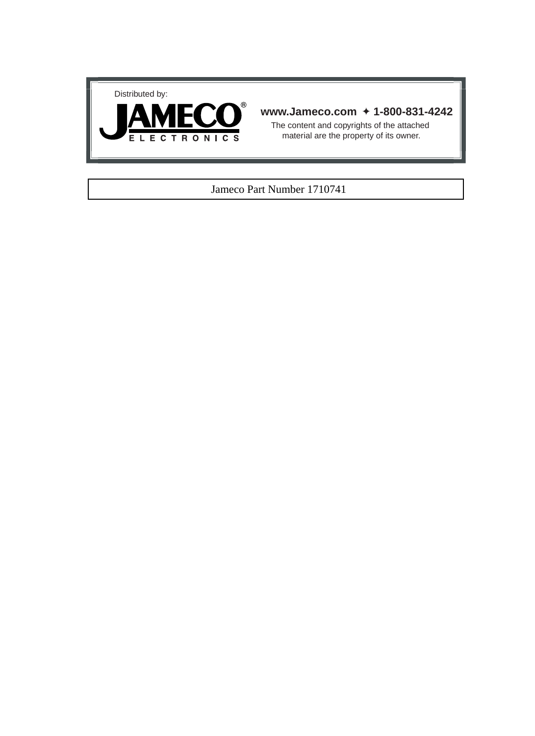



### **www.Jameco.com** ✦ **1-800-831-4242**

The content and copyrights of the attached material are the property of its owner.

### Jameco Part Number 1710741